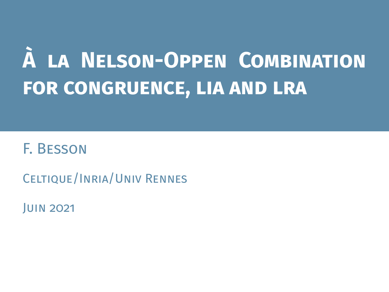# **À la Nelson-Oppen Combination for congruence, lia and lra**

# F. Besson

Celtique/Inria/Univ Rennes

Juin 2021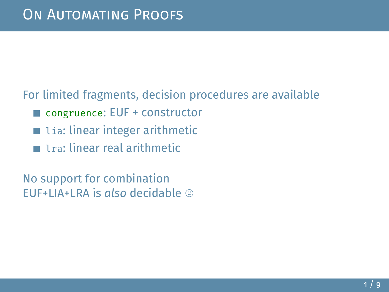#### For limited fragments, decision procedures are available

- congruence: EUF + constructor
- $\blacksquare$  lia: linear integer arithmetic
- **1** 1 ra: linear real arithmetic

No support for combination EUF+LIA+LRA is *also* decidable /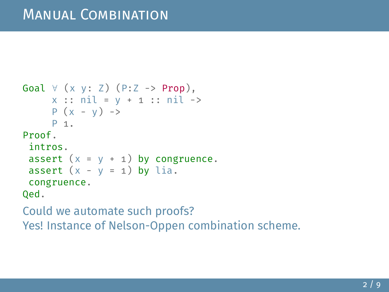```
Goal \forall (x y: Z) (P:Z -> Prop),
     x :: nil = y + 1 :: nil ->P (x - y) ->
     P 1.
Proof.
 intros.
 assert (x = y + 1) by congruence.
 assert (x - y = 1) by lia.
 congruence.
Qed.
```
Could we automate such proofs?

Yes! Instance of Nelson-Oppen combination scheme.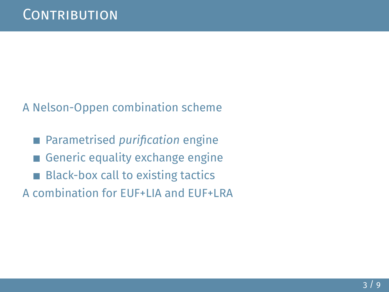#### A Nelson-Oppen combination scheme

■ Parametrised *purification* engine Generic equality exchange engine  $\overline{\phantom{a}}$ **Black-box call to existing tactics** A combination for EUF+LIA and EUF+LRA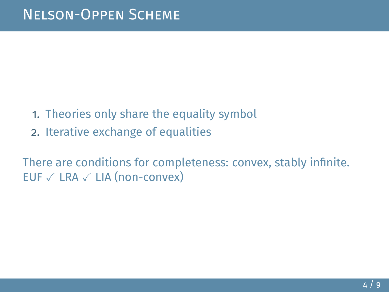- 1. Theories only share the equality symbol
- 2. Iterative exchange of equalities

There are conditions for completeness: convex, stably infinite. EUF  $\checkmark$  LRA  $\checkmark$  LIA (non-convex)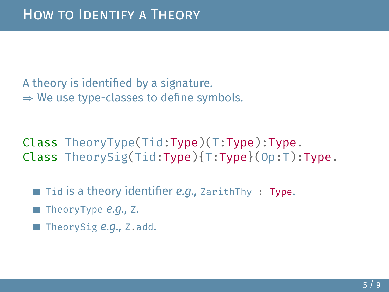A theory is identified by a signature.  $\Rightarrow$  We use type-classes to define symbols.

Class TheoryType(Tid:Type)(T:Type):Type. Class TheorySig(Tid:Type){T:Type}(Op:T):Type.

■ Tid is a theory identifier *e.g.*, ZarithThy : Type.

TheoryType *e.g.,* Z.

TheorySig *e.g.,* Z.add.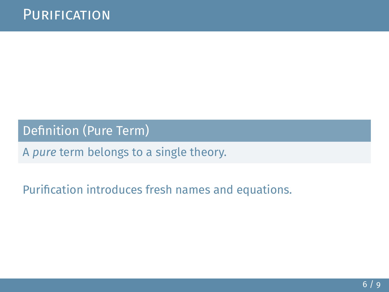Definition (Pure Term)

A *pure* term belongs to a single theory.

Purification introduces fresh names and equations.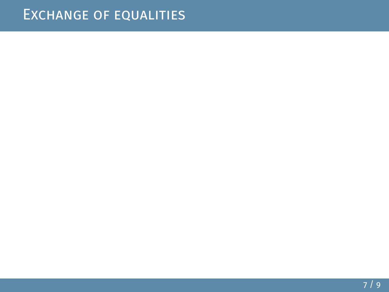## Exchange of equalities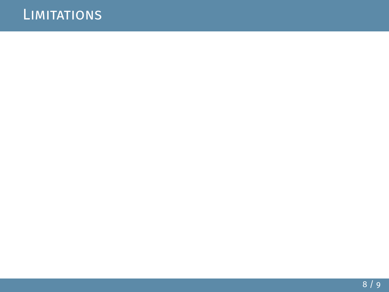## **LIMITATIONS**